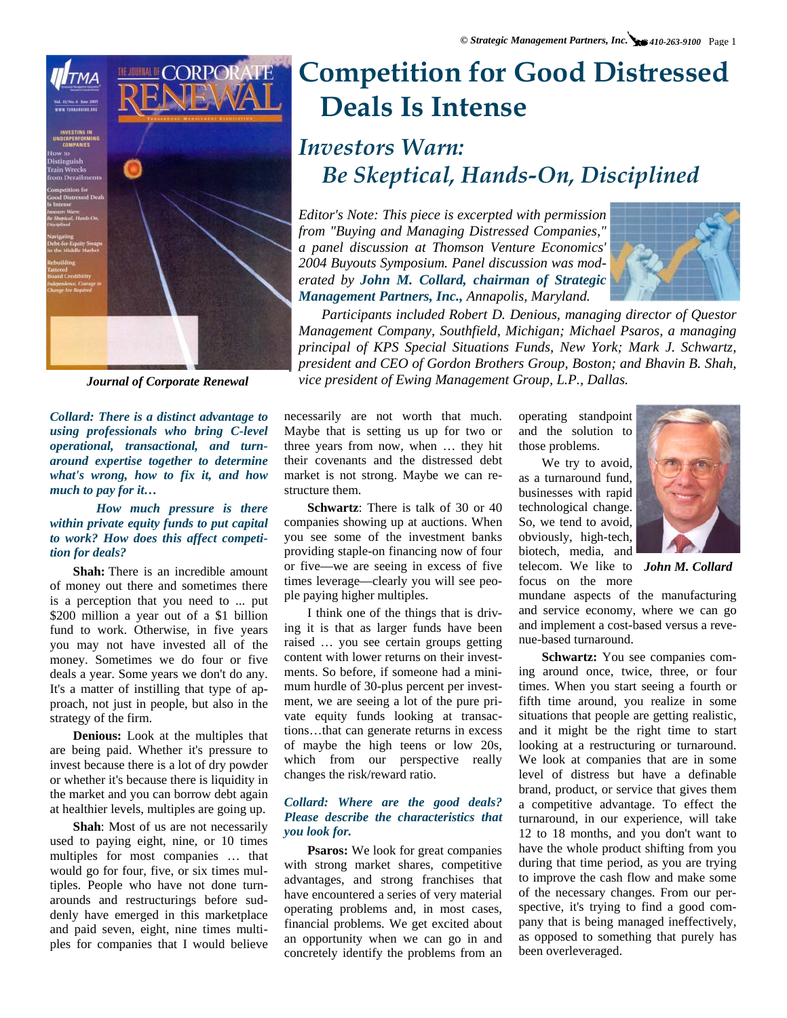

*Collard: There is a distinct advantage to using professionals who bring C-level operational, transactional, and turnaround expertise together to determine what's wrong, how to fix it, and how much to pay for it…* 

#### *How much pressure is there within private equity funds to put capital to work? How does this affect competition for deals?*

**Shah:** There is an incredible amount of money out there and sometimes there is a perception that you need to ... put \$200 million a year out of a \$1 billion fund to work. Otherwise, in five years you may not have invested all of the money. Sometimes we do four or five deals a year. Some years we don't do any. It's a matter of instilling that type of approach, not just in people, but also in the strategy of the firm.

**Denious:** Look at the multiples that are being paid. Whether it's pressure to invest because there is a lot of dry powder or whether it's because there is liquidity in the market and you can borrow debt again at healthier levels, multiples are going up.

**Shah**: Most of us are not necessarily used to paying eight, nine, or 10 times multiples for most companies … that would go for four, five, or six times multiples. People who have not done turnarounds and restructurings before suddenly have emerged in this marketplace and paid seven, eight, nine times multiples for companies that I would believe

# **Competition for Good Distressed Deals Is Intense**

### *Investors Warn: Be Skeptical, Hands-On, Disciplined*

*Editor's Note: This piece is excerpted with permission from "Buying and Managing Distressed Companies," a panel discussion at Thomson Venture Economics' 2004 Buyouts Symposium. Panel discussion was moderated by John M. Collard, chairman of Strategic Management Partners, Inc., Annapolis, Maryland.* 



*Participants included Robert D. Denious, managing director of Questor Management Company, Southfield, Michigan; Michael Psaros, a managing principal of KPS Special Situations Funds, New York; Mark J. Schwartz, president and CEO of Gordon Brothers Group, Boston; and Bhavin B. Shah, Journal of Corporate Renewal vice president of Ewing Management Group, L.P., Dallas.* 

> necessarily are not worth that much. Maybe that is setting us up for two or three years from now, when … they hit their covenants and the distressed debt market is not strong. Maybe we can restructure them.

> **Schwartz**: There is talk of 30 or 40 companies showing up at auctions. When you see some of the investment banks providing staple-on financing now of four or five—we are seeing in excess of five times leverage—clearly you will see people paying higher multiples.

> ing it is that as larger funds have been raised ... you see certain groups getting I think one of the things that is drivcontent with lower returns on their investments. So before, if someone had a minimum hurdle of 30-plus percent per investment, we are seeing a lot of the pure private equity funds looking at transactions…that can generate returns in excess of maybe the high teens or low 20s, which from our perspective really changes the risk/reward ratio.

#### *Collard: Where are the good deals? Please describe the characteristics that you look for.*

**Psaros:** We look for great companies with strong market shares, competitive advantages, and strong franchises that have encountered a series of very material operating problems and, in most cases, financial problems. We get excited about an opportunity when we can go in and concretely identify the problems from an

operating standpoint and the solution to those problems.

We try to avoid, as a turnaround fund, businesses with rapid technological change. So, we tend to avoid, obviously, high-tech, biotech, media, and

focus on the more



telecom. We like to *John M. Collard* 

mundane aspects of the manufacturing and service economy, where we can go and implement a cost-based versus a revenue-based turnaround.

**Schwartz:** You see companies coming around once, twice, three, or four times. When you start seeing a fourth or fifth time around, you realize in some situations that people are getting realistic, and it might be the right time to start looking at a restructuring or turnaround. We look at companies that are in some level of distress but have a definable brand, product, or service that gives them a competitive advantage. To effect the turnaround, in our experience, will take 12 to 18 months, and you don't want to have the whole product shifting from you during that time period, as you are trying to improve the cash flow and make some of the necessary changes. From our perspective, it's trying to find a good company that is being managed ineffectively, as opposed to something that purely has been overleveraged.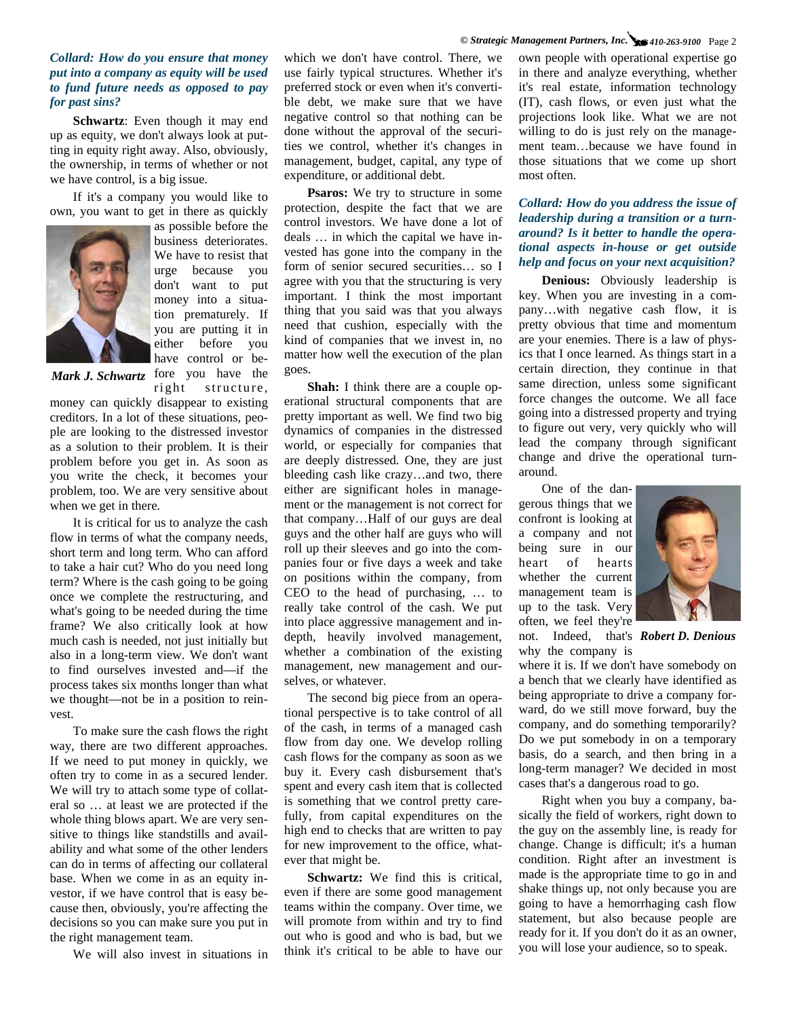#### *Collard: How do you ensure that money put into a company as equity will be used to fund future needs as opposed to pay for past sins?*

**Schwartz**: Even though it may end up as equity, we don't always look at putting in equity right away. Also, obviously, the ownership, in terms of whether or not we have control, is a big issue.

If it's a company you would like to own, you want to get in there as quickly



as possible before the business deteriorates. We have to resist that urge because you don't want to put money into a situation prematurely. If you are putting it in either before you have control or be-Mark J. Schwartz fore you have the

right structure,

money can quickly disappear to existing creditors. In a lot of these situations, people are looking to the distressed investor as a solution to their problem. It is their problem before you get in. As soon as you write the check, it becomes your problem, too. We are very sensitive about when we get in there.

It is critical for us to analyze the cash flow in terms of what the company needs, short term and long term. Who can afford to take a hair cut? Who do you need long term? Where is the cash going to be going once we complete the restructuring, and what's going to be needed during the time frame? We also critically look at how much cash is needed, not just initially but also in a long-term view. We don't want to find ourselves invested and—if the process takes six months longer than what we thought—not be in a position to reinvest.

To make sure the cash flows the right way, there are two different approaches. If we need to put money in quickly, we often try to come in as a secured lender. We will try to attach some type of collateral so … at least we are protected if the whole thing blows apart. We are very sensitive to things like standstills and availability and what some of the other lenders can do in terms of affecting our collateral base. When we come in as an equity investor, if we have control that is easy because then, obviously, you're affecting the decisions so you can make sure you put in the right management team.

We will also invest in situations in

which we don't have control. There, we use fairly typical structures. Whether it's preferred stock or even when it's convertible debt, we make sure that we have negative control so that nothing can be done without the approval of the securities we control, whether it's changes in management, budget, capital, any type of expenditure, or additional debt.

**Psaros:** We try to structure in some protection, despite the fact that we are control investors. We have done a lot of deals … in which the capital we have invested has gone into the company in the form of senior secured securities… so I agree with you that the structuring is very important. I think the most important thing that you said was that you always need that cushion, especially with the kind of companies that we invest in, no matter how well the execution of the plan goes.

**Shah:** I think there are a couple operational structural components that are pretty important as well. We find two big dynamics of companies in the distressed world, or especially for companies that are deeply distressed. One, they are just bleeding cash like crazy…and two, there either are significant holes in management or the management is not correct for that company…Half of our guys are deal guys and the other half are guys who will roll up their sleeves and go into the companies four or five days a week and take on positions within the company, from CEO to the head of purchasing, … to really take control of the cash. We put into place aggressive management and indepth, heavily involved management, whether a combination of the existing management, new management and ourselves, or whatever.

The second big piece from an operational perspective is to take control of all of the cash, in terms of a managed cash flow from day one. We develop rolling cash flows for the company as soon as we buy it. Every cash disbursement that's spent and every cash item that is collected is something that we control pretty carefully, from capital expenditures on the high end to checks that are written to pay for new improvement to the office, whatever that might be.

**Schwartz:** We find this is critical, even if there are some good management teams within the company. Over time, we will promote from within and try to find out who is good and who is bad, but we think it's critical to be able to have our

own people with operational expertise go in there and analyze everything, whether it's real estate, information technology (IT), cash flows, or even just what the projections look like. What we are not willing to do is just rely on the management team…because we have found in those situations that we come up short most often.

#### *Collard: How do you address the issue of leadership during a transition or a turnaround? Is it better to handle the operational aspects in-house or get outside help and focus on your next acquisition?*

**Denious:** Obviously leadership is key. When you are investing in a company…with negative cash flow, it is pretty obvious that time and momentum are your enemies. There is a law of physics that I once learned. As things start in a certain direction, they continue in that same direction, unless some significant force changes the outcome. We all face going into a distressed property and trying to figure out very, very quickly who will lead the company through significant change and drive the operational turnaround.

One of the dangerous things that we confront is looking at a company and not being sure in our heart of hearts whether the current management team is up to the task. Very often, we feel they're not. Indeed, that's *Robert D. Denious* why the company is



where it is. If we don't have somebody on a bench that we clearly have identified as being appropriate to drive a company forward, do we still move forward, buy the company, and do something temporarily? Do we put somebody in on a temporary basis, do a search, and then bring in a long-term manager? We decided in most cases that's a dangerous road to go.

Right when you buy a company, basically the field of workers, right down to the guy on the assembly line, is ready for change. Change is difficult; it's a human condition. Right after an investment is made is the appropriate time to go in and shake things up, not only because you are going to have a hemorrhaging cash flow statement, but also because people are ready for it. If you don't do it as an owner, you will lose your audience, so to speak.

#### *© Strategic Management Partners, Inc. 410-263-9100* Page 2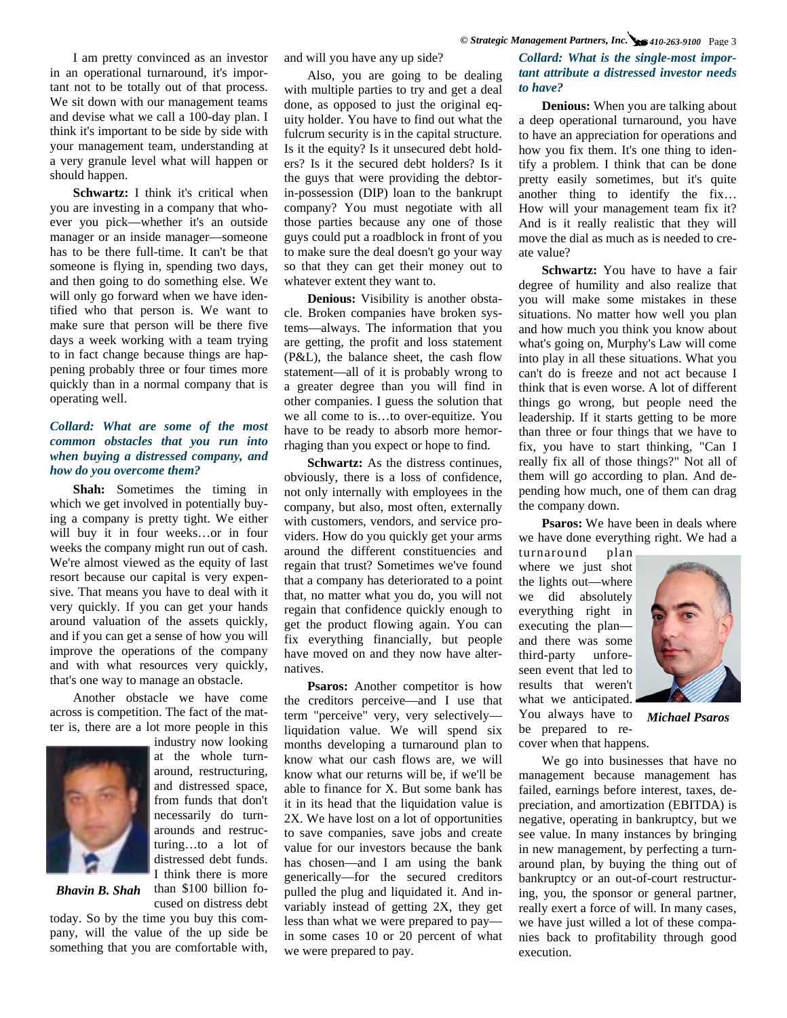I am pretty convinced as an investor in an operational turnaround, it's important not to be totally out of that process. We sit down with our management teams and devise what we call a 100-day plan. I think it's important to be side by side with your management team, understanding at a very granule level what will happen or should happen.

**Schwartz:** I think it's critical when you are investing in a company that whoever you pick—whether it's an outside manager or an inside manager—someone has to be there full-time. It can't be that someone is flying in, spending two days, and then going to do something else. We will only go forward when we have identified who that person is. We want to make sure that person will be there five days a week working with a team trying to in fact change because things are happening probably three or four times more quickly than in a normal company that is operating well.

#### *Collard: What are some of the most common obstacles that you run into when buying a distressed company, and how do you overcome them?*

**Shah:** Sometimes the timing in which we get involved in potentially buying a company is pretty tight. We either will buy it in four weeks…or in four weeks the company might run out of cash. We're almost viewed as the equity of last resort because our capital is very expensive. That means you have to deal with it very quickly. If you can get your hands around valuation of the assets quickly, and if you can get a sense of how you will improve the operations of the company and with what resources very quickly, that's one way to manage an obstacle.

Another obstacle we have come across is competition. The fact of the matter is, there are a lot more people in this



industry now looking at the whole turnaround, restructuring, and distressed space, from funds that don't necessarily do turnarounds and restructuring…to a lot of distressed debt funds. I think there is more than \$100 billion fo-

cused on distress debt

*Bhavin B. Shah* 

today. So by the time you buy this company, will the value of the up side be something that you are comfortable with, and will you have any up side?

Also, you are going to be dealing with multiple parties to try and get a deal done, as opposed to just the original equity holder. You have to find out what the fulcrum security is in the capital structure. Is it the equity? Is it unsecured debt holders? Is it the secured debt holders? Is it the guys that were providing the debtorin-possession (DIP) loan to the bankrupt company? You must negotiate with all those parties because any one of those guys could put a roadblock in front of you to make sure the deal doesn't go your way so that they can get their money out to whatever extent they want to.

**Denious:** Visibility is another obstacle. Broken companies have broken systems—always. The information that you are getting, the profit and loss statement (P&L), the balance sheet, the cash flow statement—all of it is probably wrong to a greater degree than you will find in other companies. I guess the solution that we all come to is…to over-equitize. You have to be ready to absorb more hemorrhaging than you expect or hope to find.

**Schwartz:** As the distress continues, obviously, there is a loss of confidence, not only internally with employees in the company, but also, most often, externally with customers, vendors, and service providers. How do you quickly get your arms around the different constituencies and regain that trust? Sometimes we've found that a company has deteriorated to a point that, no matter what you do, you will not regain that confidence quickly enough to get the product flowing again. You can fix everything financially, but people have moved on and they now have alternatives.

**Psaros:** Another competitor is how the creditors perceive—and I use that term "perceive" very, very selectively liquidation value. We will spend six months developing a turnaround plan to know what our cash flows are, we will know what our returns will be, if we'll be able to finance for X. But some bank has it in its head that the liquidation value is 2X. We have lost on a lot of opportunities to save companies, save jobs and create value for our investors because the bank has chosen—and I am using the bank generically—for the secured creditors pulled the plug and liquidated it. And invariably instead of getting 2X, they get less than what we were prepared to pay in some cases 10 or 20 percent of what we were prepared to pay.

#### *Collard: What is the single-most important attribute a distressed investor needs to have?*

**Denious:** When you are talking about a deep operational turnaround, you have to have an appreciation for operations and how you fix them. It's one thing to identify a problem. I think that can be done pretty easily sometimes, but it's quite another thing to identify the fix… How will your management team fix it? And is it really realistic that they will move the dial as much as is needed to create value?

Schwartz: You have to have a fair degree of humility and also realize that you will make some mistakes in these situations. No matter how well you plan and how much you think you know about what's going on, Murphy's Law will come into play in all these situations. What you can't do is freeze and not act because I think that is even worse. A lot of different things go wrong, but people need the leadership. If it starts getting to be more than three or four things that we have to fix, you have to start thinking, "Can I really fix all of those things?" Not all of them will go according to plan. And depending how much, one of them can drag the company down.

**Psaros:** We have been in deals where we have done everything right. We had a

turnaround plan where we just shot the lights out—where we did absolutely everything right in executing the plan and there was some third-party unforeseen event that led to results that weren't what we anticipated. You always have to be prepared to recover when that happens.



*Michael Psaros* 

We go into businesses that have no management because management has failed, earnings before interest, taxes, depreciation, and amortization (EBITDA) is negative, operating in bankruptcy, but we see value. In many instances by bringing in new management, by perfecting a turnaround plan, by buying the thing out of bankruptcy or an out-of-court restructuring, you, the sponsor or general partner, really exert a force of will. In many cases, we have just willed a lot of these companies back to profitability through good execution.